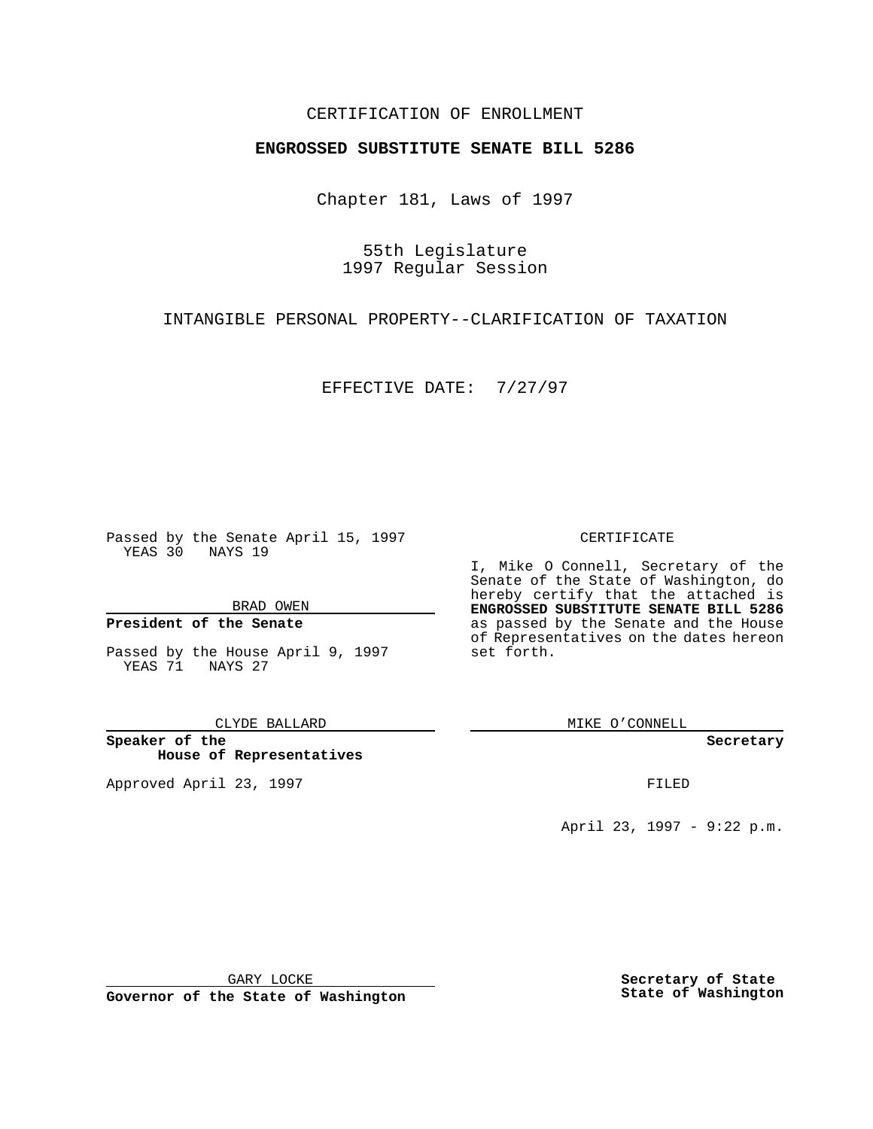## CERTIFICATION OF ENROLLMENT

# **ENGROSSED SUBSTITUTE SENATE BILL 5286**

Chapter 181, Laws of 1997

55th Legislature 1997 Regular Session

INTANGIBLE PERSONAL PROPERTY--CLARIFICATION OF TAXATION

EFFECTIVE DATE: 7/27/97

Passed by the Senate April 15, 1997 YEAS 30 NAYS 19

BRAD OWEN

### **President of the Senate**

Passed by the House April 9, 1997 YEAS 71 NAYS 27

CLYDE BALLARD

**Speaker of the House of Representatives**

Approved April 23, 1997 **FILED** 

#### CERTIFICATE

I, Mike O Connell, Secretary of the Senate of the State of Washington, do hereby certify that the attached is **ENGROSSED SUBSTITUTE SENATE BILL 5286** as passed by the Senate and the House of Representatives on the dates hereon set forth.

MIKE O'CONNELL

**Secretary**

April 23, 1997 - 9:22 p.m.

GARY LOCKE

**Governor of the State of Washington**

**Secretary of State State of Washington**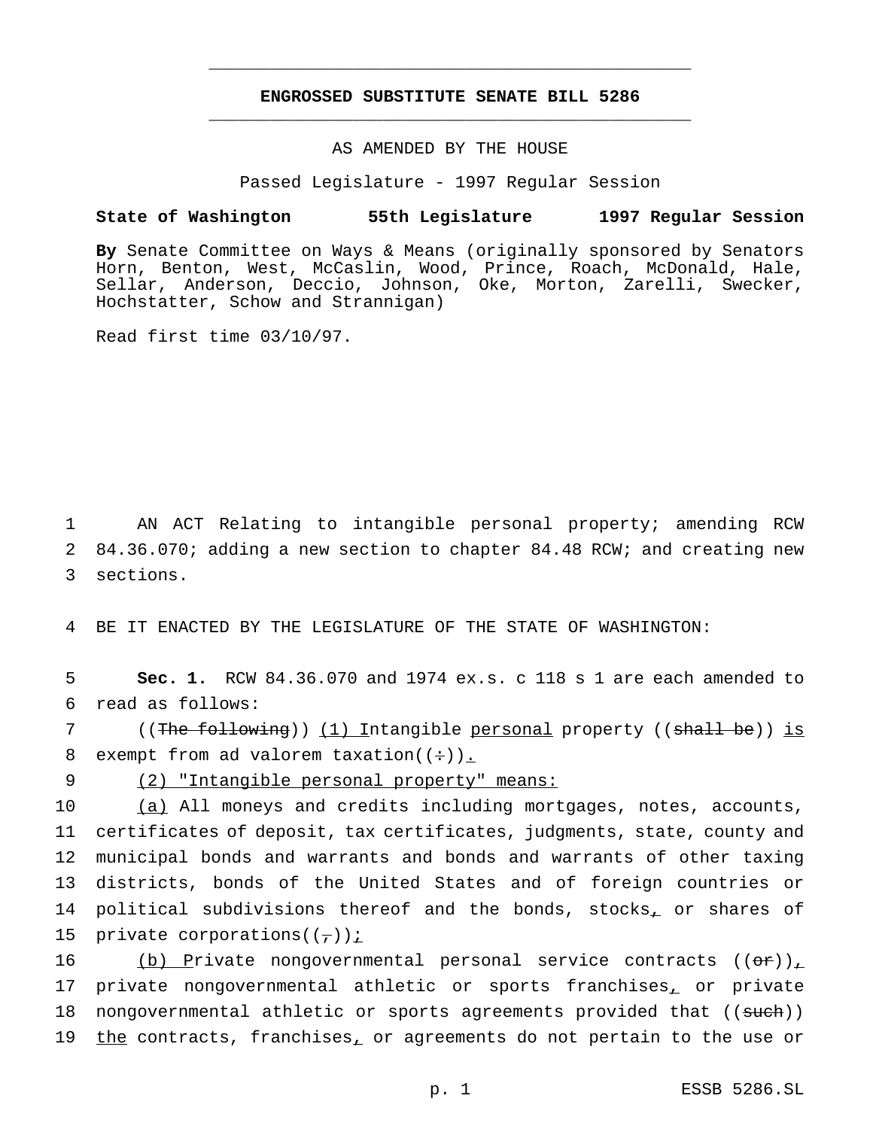## **ENGROSSED SUBSTITUTE SENATE BILL 5286** \_\_\_\_\_\_\_\_\_\_\_\_\_\_\_\_\_\_\_\_\_\_\_\_\_\_\_\_\_\_\_\_\_\_\_\_\_\_\_\_\_\_\_\_\_\_\_

\_\_\_\_\_\_\_\_\_\_\_\_\_\_\_\_\_\_\_\_\_\_\_\_\_\_\_\_\_\_\_\_\_\_\_\_\_\_\_\_\_\_\_\_\_\_\_

### AS AMENDED BY THE HOUSE

Passed Legislature - 1997 Regular Session

#### **State of Washington 55th Legislature 1997 Regular Session**

**By** Senate Committee on Ways & Means (originally sponsored by Senators Horn, Benton, West, McCaslin, Wood, Prince, Roach, McDonald, Hale, Sellar, Anderson, Deccio, Johnson, Oke, Morton, Zarelli, Swecker, Hochstatter, Schow and Strannigan)

Read first time 03/10/97.

1 AN ACT Relating to intangible personal property; amending RCW 2 84.36.070; adding a new section to chapter 84.48 RCW; and creating new 3 sections.

4 BE IT ENACTED BY THE LEGISLATURE OF THE STATE OF WASHINGTON:

5 **Sec. 1.** RCW 84.36.070 and 1974 ex.s. c 118 s 1 are each amended to 6 read as follows:

7 ((The following)) (1) Intangible personal property ((shall be)) is 8 exempt from ad valorem taxation( $(\div)$ ).

9 (2) "Intangible personal property" means:

10 (a) All moneys and credits including mortgages, notes, accounts, 11 certificates of deposit, tax certificates, judgments, state, county and 12 municipal bonds and warrants and bonds and warrants of other taxing 13 districts, bonds of the United States and of foreign countries or 14 political subdivisions thereof and the bonds, stocks, or shares of 15 private corporations( $(\tau)$ ) i

16 (b) Private nongovernmental personal service contracts  $((\sigma \cdot r))_{\perp}$ 17 private nongovernmental athletic or sports franchises, or private 18 nongovernmental athletic or sports agreements provided that ((such)) 19 the contracts, franchises, or agreements do not pertain to the use or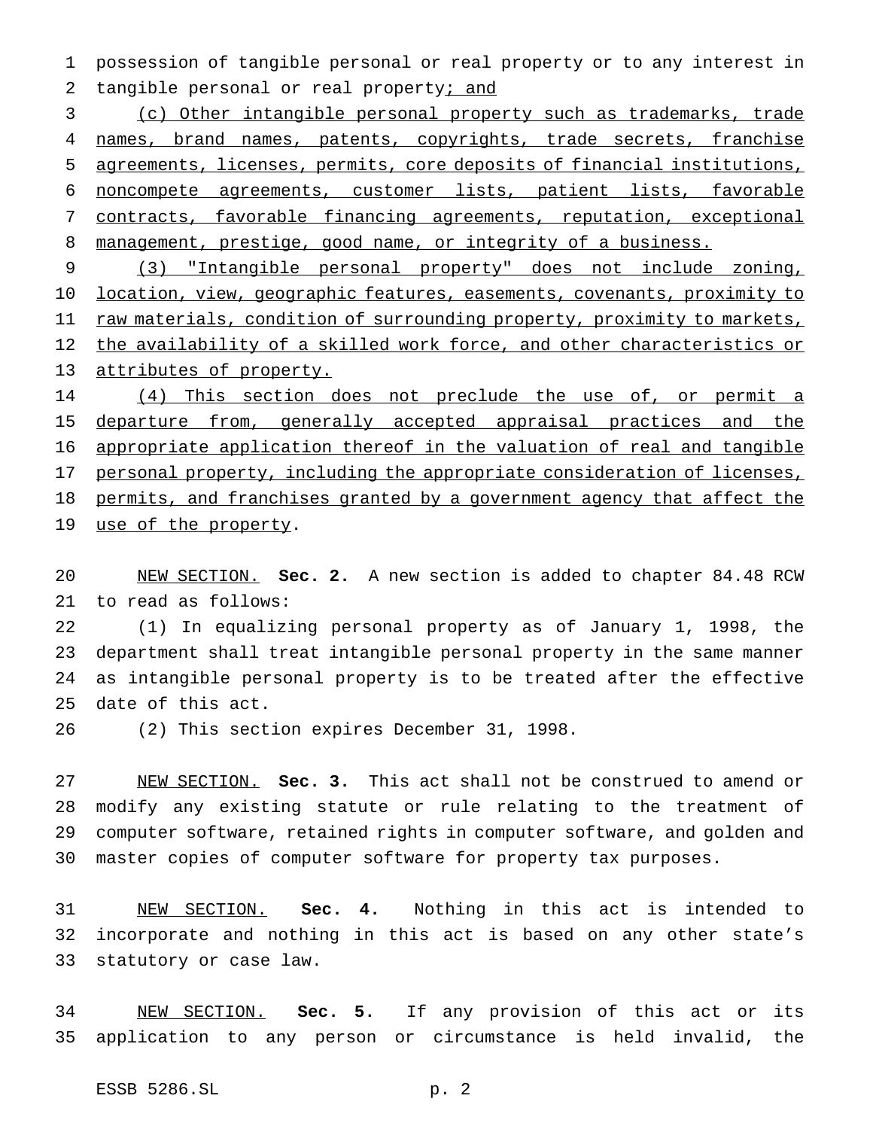possession of tangible personal or real property or to any interest in 2 tangible personal or real property; and

 (c) Other intangible personal property such as trademarks, trade 4 names, brand names, patents, copyrights, trade secrets, franchise agreements, licenses, permits, core deposits of financial institutions, noncompete agreements, customer lists, patient lists, favorable contracts, favorable financing agreements, reputation, exceptional 8 management, prestige, good name, or integrity of a business.

 (3) "Intangible personal property" does not include zoning, location, view, geographic features, easements, covenants, proximity to 11 raw materials, condition of surrounding property, proximity to markets, 12 the availability of a skilled work force, and other characteristics or attributes of property.

 (4) This section does not preclude the use of, or permit a 15 departure from, generally accepted appraisal practices and the appropriate application thereof in the valuation of real and tangible 17 personal property, including the appropriate consideration of licenses, 18 permits, and franchises granted by a government agency that affect the 19 use of the property.

 NEW SECTION. **Sec. 2.** A new section is added to chapter 84.48 RCW to read as follows:

 (1) In equalizing personal property as of January 1, 1998, the department shall treat intangible personal property in the same manner as intangible personal property is to be treated after the effective date of this act.

(2) This section expires December 31, 1998.

 NEW SECTION. **Sec. 3.** This act shall not be construed to amend or modify any existing statute or rule relating to the treatment of computer software, retained rights in computer software, and golden and master copies of computer software for property tax purposes.

 NEW SECTION. **Sec. 4.** Nothing in this act is intended to incorporate and nothing in this act is based on any other state's statutory or case law.

 NEW SECTION. **Sec. 5.** If any provision of this act or its application to any person or circumstance is held invalid, the